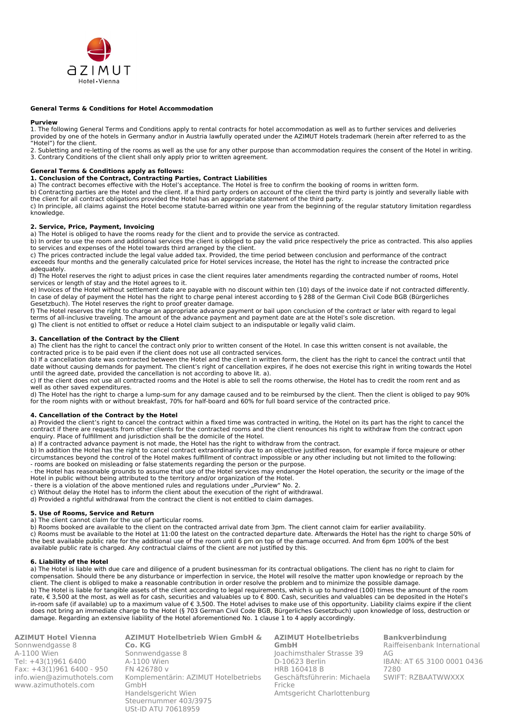

## **General Terms & Conditions for Hotel Accommodation**

#### **Purview**

1. The following General Terms and Conditions apply to rental contracts for hotel accommodation as well as to further services and deliveries provided by one of the hotels in Germany and\or in Austria lawfully operated under the AZIMUT Hotels trademark (herein after referred to as the "Hotel") for the client.

2. Subletting and re-letting of the rooms as well as the use for any other purpose than accommodation requires the consent of the Hotel in writing. 3. Contrary Conditions of the client shall only apply prior to written agreement.

#### **General Terms & Conditions apply as follows:**

**1. Conclusion of the Contract, Contracting Parties, Contract Liabilities** 

a) The contract becomes effective with the Hotel's acceptance. The Hotel is free to confirm the booking of rooms in written form.

b) Contracting parties are the Hotel and the client. If a third party orders on account of the client the third party is jointly and severally liable with the client for all contract obligations provided the Hotel has an appropriate statement of the third party.

c) In principle, all claims against the Hotel become statute-barred within one year from the beginning of the regular statutory limitation regardless knowledge.

## **2. Service, Price, Payment, Invoicing**

a) The Hotel is obliged to have the rooms ready for the client and to provide the service as contracted.

b) In order to use the room and additional services the client is obliged to pay the valid price respectively the price as contracted. This also applies to services and expenses of the Hotel towards third arranged by the client.

c) The prices contracted include the legal value added tax. Provided, the time period between conclusion and performance of the contract exceeds four months and the generally calculated price for Hotel services increase, the Hotel has the right to increase the contracted price adequately.

d) The Hotel reserves the right to adjust prices in case the client requires later amendments regarding the contracted number of rooms, Hotel services or length of stay and the Hotel agrees to it.

e) Invoices of the Hotel without settlement date are payable with no discount within ten (10) days of the invoice date if not contracted differently. In case of delay of payment the Hotel has the right to charge penal interest according to § 288 of the German Civil Code BGB (Bürgerliches Gesetzbuch). The Hotel reserves the right to proof greater damage.

f) The Hotel reserves the right to charge an appropriate advance payment or bail upon conclusion of the contract or later with regard to legal terms of all-inclusive traveling. The amount of the advance payment and payment date are at the Hotel's sole discretion. g) The client is not entitled to offset or reduce a Hotel claim subject to an indisputable or legally valid claim.

#### **3. Cancellation of the Contract by the Client**

a) The client has the right to cancel the contract only prior to written consent of the Hotel. In case this written consent is not available, the contracted price is to be paid even if the client does not use all contracted services.

b) If a cancellation date was contracted between the Hotel and the client in written form, the client has the right to cancel the contract until that date without causing demands for payment. The client's right of cancellation expires, if he does not exercise this right in writing towards the Hotel until the agreed date, provided the cancellation is not according to above lit. a).

c) If the client does not use all contracted rooms and the Hotel is able to sell the rooms otherwise, the Hotel has to credit the room rent and as well as other saved expenditures.

d) The Hotel has the right to charge a lump-sum for any damage caused and to be reimbursed by the client. Then the client is obliged to pay 90% for the room nights with or without breakfast, 70% for half-board and 60% for full board service of the contracted price.

#### **4. Cancellation of the Contract by the Hotel**

a) Provided the client's right to cancel the contract within a fixed time was contracted in writing, the Hotel on its part has the right to cancel the contract if there are requests from other clients for the contracted rooms and the client renounces his right to withdraw from the contract upon enquiry. Place of fulfillment and jurisdiction shall be the domicile of the Hotel.

a) If a contracted advance payment is not made, the Hotel has the right to withdraw from the contract.

b) In addition the Hotel has the right to cancel contract extraordinarily due to an objective justified reason, for example if force majeure or other circumstances beyond the control of the Hotel makes fulfillment of contract impossible or any other including but not limited to the following: - rooms are booked on misleading or false statements regarding the person or the purpose.

- the Hotel has reasonable grounds to assume that use of the Hotel services may endanger the Hotel operation, the security or the image of the Hotel in public without being attributed to the territory and/or organization of the Hotel.

- there is a violation of the above mentioned rules and regulations under "Purview" No. 2.

c) Without delay the Hotel has to inform the client about the execution of the right of withdrawal.

d) Provided a rightful withdrawal from the contract the client is not entitled to claim damages.

# **5. Use of Rooms, Service and Return**

a) The client cannot claim for the use of particular rooms.

b) Rooms booked are available to the client on the contracted arrival date from 3pm. The client cannot claim for earlier availability. c) Rooms must be available to the Hotel at 11:00 the latest on the contracted departure date. Afterwards the Hotel has the right to charge 50% of the best available public rate for the additional use of the room until 6 pm on top of the damage occurred. And from 6pm 100% of the best available public rate is charged. Any contractual claims of the client are not justified by this.

#### **6. Liability of the Hotel**

a) The Hotel is liable with due care and diligence of a prudent businessman for its contractual obligations. The client has no right to claim for compensation. Should there be any disturbance or imperfection in service, the Hotel will resolve the matter upon knowledge or reproach by the client. The client is obliged to make a reasonable contribution in order resolve the problem and to minimize the possible damage. b) The Hotel is liable for tangible assets of the client according to legal requirements, which is up to hundred (100) times the amount of the room rate, € 3,500 at the most, as well as for cash, securities and valuables up to € 800. Cash, securities and valuables can be deposited in the Hotel's in-room safe (if available) up to a maximum value of  $\epsilon$  3,500. The Hotel advises to make use of this opportunity. Liability claims expire if the client does not bring an immediate charge to the Hotel (§ 703 German Civil Code BGB, Bürgerliches Gesetzbuch) upon knowledge of loss, destruction or damage. Regarding an extensive liability of the Hotel aforementioned No. 1 clause 1 to 4 apply accordingly.

| Azimul Hotel vlenna        |
|----------------------------|
| Sonnwendgasse 8            |
| A-1100 Wien                |
| Tel: +43(1)961 6400        |
| Fax: +43(1)961 6400 - 950  |
| info.wien@azimuthotels.com |
| www.azimuthotels.com       |
|                            |

**AZIMUT Hotel Vienna**

**AZIMUT Hotelbetrieb Wien GmbH & Co. KG** Sonnwendgasse 8 A-1100 Wien FN 426780 v Komplementärin: AZIMUT Hotelbetriebs GmbH Handelsgericht Wien Steuernummer 403/3975 USt-ID ATU 70618959

**AZIMUT Hotelbetriebs GmbH** Joachimsthaler Strasse 39 D-10623 Berlin HRB 160418 B Geschäftsführerin: Michaela Fricke Amtsgericht Charlottenburg

**Bankverbindung** Raiffeisenbank International AG IBAN: AT 65 3100 0001 0436 7280 SWIFT: RZBAATWWXXX